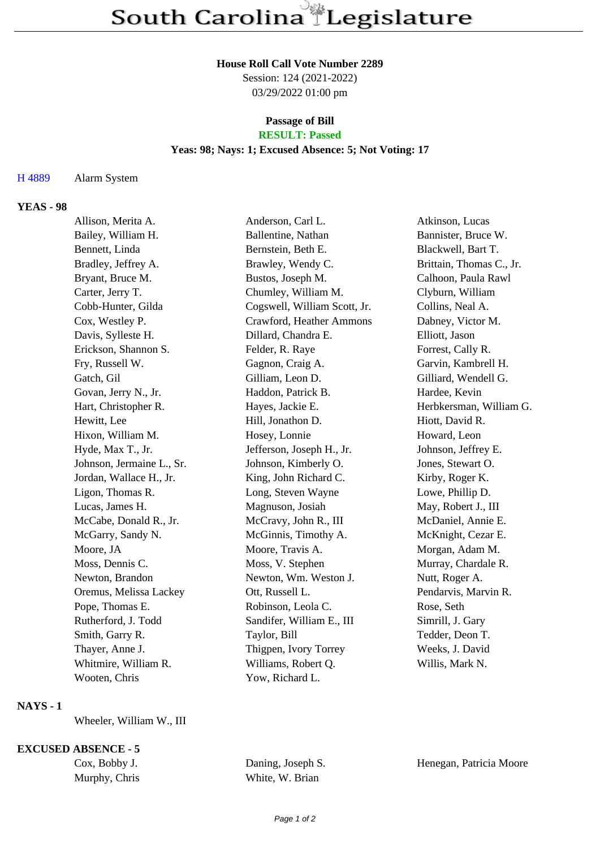#### **House Roll Call Vote Number 2289**

Session: 124 (2021-2022) 03/29/2022 01:00 pm

# **Passage of Bill**

## **RESULT: Passed**

#### **Yeas: 98; Nays: 1; Excused Absence: 5; Not Voting: 17**

H 4889 Alarm System

#### **YEAS - 98**

| Allison, Merita A.        | Anderson, Carl L.            | Atkinson, Lucas          |
|---------------------------|------------------------------|--------------------------|
| Bailey, William H.        | Ballentine, Nathan           | Bannister, Bruce W.      |
| Bennett, Linda            | Bernstein, Beth E.           | Blackwell, Bart T.       |
| Bradley, Jeffrey A.       | Brawley, Wendy C.            | Brittain, Thomas C., Jr. |
| Bryant, Bruce M.          | Bustos, Joseph M.            | Calhoon, Paula Rawl      |
| Carter, Jerry T.          | Chumley, William M.          | Clyburn, William         |
| Cobb-Hunter, Gilda        | Cogswell, William Scott, Jr. | Collins, Neal A.         |
| Cox, Westley P.           | Crawford, Heather Ammons     | Dabney, Victor M.        |
| Davis, Sylleste H.        | Dillard, Chandra E.          | Elliott, Jason           |
| Erickson, Shannon S.      | Felder, R. Raye              | Forrest, Cally R.        |
| Fry, Russell W.           | Gagnon, Craig A.             | Garvin, Kambrell H.      |
| Gatch, Gil                | Gilliam, Leon D.             | Gilliard, Wendell G.     |
| Govan, Jerry N., Jr.      | Haddon, Patrick B.           | Hardee, Kevin            |
| Hart, Christopher R.      | Hayes, Jackie E.             | Herbkersman, William G.  |
| Hewitt, Lee               | Hill, Jonathon D.            | Hiott, David R.          |
| Hixon, William M.         | Hosey, Lonnie                | Howard, Leon             |
| Hyde, Max T., Jr.         | Jefferson, Joseph H., Jr.    | Johnson, Jeffrey E.      |
| Johnson, Jermaine L., Sr. | Johnson, Kimberly O.         | Jones, Stewart O.        |
| Jordan, Wallace H., Jr.   | King, John Richard C.        | Kirby, Roger K.          |
| Ligon, Thomas R.          | Long, Steven Wayne           | Lowe, Phillip D.         |
| Lucas, James H.           | Magnuson, Josiah             | May, Robert J., III      |
| McCabe, Donald R., Jr.    | McCravy, John R., III        | McDaniel, Annie E.       |
| McGarry, Sandy N.         | McGinnis, Timothy A.         | McKnight, Cezar E.       |
| Moore, JA                 | Moore, Travis A.             | Morgan, Adam M.          |
| Moss, Dennis C.           | Moss, V. Stephen             | Murray, Chardale R.      |
| Newton, Brandon           | Newton, Wm. Weston J.        | Nutt, Roger A.           |
| Oremus, Melissa Lackey    | Ott, Russell L.              | Pendarvis, Marvin R.     |
| Pope, Thomas E.           | Robinson, Leola C.           | Rose, Seth               |
| Rutherford, J. Todd       | Sandifer, William E., III    | Simrill, J. Gary         |
| Smith, Garry R.           | Taylor, Bill                 | Tedder, Deon T.          |
| Thayer, Anne J.           | Thigpen, Ivory Torrey        | Weeks, J. David          |
| Whitmire, William R.      | Williams, Robert Q.          | Willis, Mark N.          |
| Wooten, Chris             | Yow, Richard L.              |                          |
|                           |                              |                          |

### **NAYS - 1**

Wheeler, William W., III

#### **EXCUSED ABSENCE - 5**

Murphy, Chris White, W. Brian

Cox, Bobby J. Daning, Joseph S. Henegan, Patricia Moore